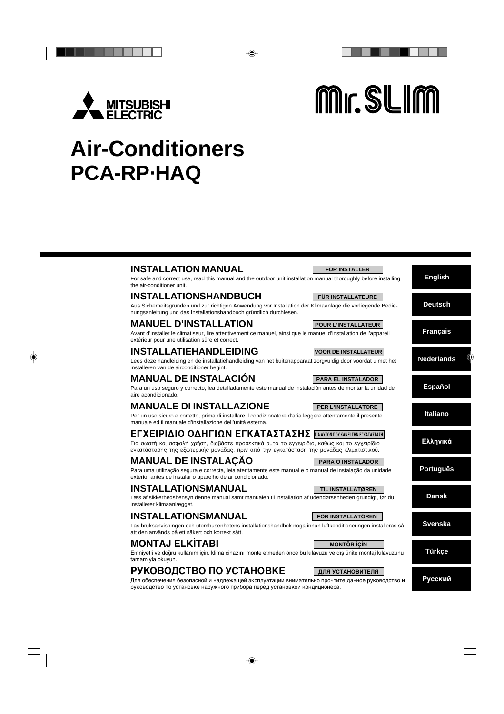

Mr. SLIM

# **Air-Conditioners PCA-RP·HAQ**

| <b>INSTALLATION MANUAL</b> |  |
|----------------------------|--|
|----------------------------|--|

For safe and correct use, read this manual and the outdoor unit installation manual thoroughly before installing the air-conditioner unit.

## **INSTALLATIONSHANDBUCH**

Aus Sicherheitsgründen und zur richtigen Anwendung vor Installation der Klimaanlage die vorliegende Bedienungsanleitung und das Installationshandbuch gründlich durchlesen.

## **MANUEL D'INSTALLATION**

Avant d'installer le climatiseur, lire attentivement ce manuel, ainsi que le manuel d'installation de l'appareil extérieur pour une utilisation sûre et correct.

## **INSTALLATIEHANDLEIDING**

Lees deze handleiding en de installatiehandleiding van het buitenapparaat zorgvuldig door voordat u met het installeren van de airconditioner begint.

# **MANUAL DE INSTALACIÓN**

Para un uso seguro y correcto, lea detalladamente este manual de instalación antes de montar la unidad de aire acondicionado.

# **MANUALE DI INSTALLAZIONE**

Per un uso sicuro e corretto, prima di installare il condizionatore d'aria leggere attentamente il presente manuale ed il manuale d'installazione dell'unità esterna.

# EΓΧΕΙΡΙΔΙΟ ΟΔΗΓΙΩΝ ΕΓΚΑΤΑΣΤΑΣΗΣ **ΓΙΑ ΑΥΤΟΝ ΠΟΥ ΚΑΝΕΙ ΤΗΝ ΕΓΚΑΤΑΣΤΑΣΗ**

Για σωστή και ασφαλή χρήση, διαβάστε προσεκτικά αυτό το εγχειρίδιο, καθώς και το εγχειρίδιο εγκατάστασης της εξωτερικής μονάδας, πριν από την εγκατάσταση της μονάδας κλιματιστικού.

# **MANUAL DE INSTALAÇÃO**

Para uma utilização segura e correcta, leia atentamente este manual e o manual de instalação da unidade exterior antes de instalar o aparelho de ar condicionado.

## **INSTALLATIONSMANUAL**

Læs af sikkerhedshensyn denne manual samt manualen til installation af udendørsenheden grundigt, før du installerer klimaanlægget.

## **INSTALLATIONSMANUAL**

Läs bruksanvisningen och utomhusenhetens installationshandbok noga innan luftkonditioneringen installeras så att den används på ett säkert och korrekt sätt.

# **MONTAJ ELK‹TABI**

Emniyetli ve doğru kullanım için, klima cihazını monte etmeden önce bu kılavuzu ve dış ünite montaj kılavuzunu tamamıyla okuyun.

# **РУКОВОДСТВО ПО УСТАНОВКЕ**

Для обеспечения безопасной и надлежащей эксплуатации внимательно прочтите данное руководство и руководство по установке наружного прибора перед установкой кондиционера.

## **PER L'INSTALLATORE**

**PARA EL INSTALADOR**

**FOR INSTALLER**

**FÜR INSTALLATEURE**

**POUR L'INSTALLATEUR**

**VOOR DE INSTALLATEUR**

## **PARA O INSTALADOR**

# **TIL INSTALLATØREN**

## **Dansk**

**Svenska**

**Português**

**English**

**Deutsch**

**Français**

**Nederlands**

**Español**

**Italiano**

**Ελληνικά** 

## **FÖR INSTALLATÖREN**

**MONTÖR İÇİN** 

**Русский**

**Türkçe**

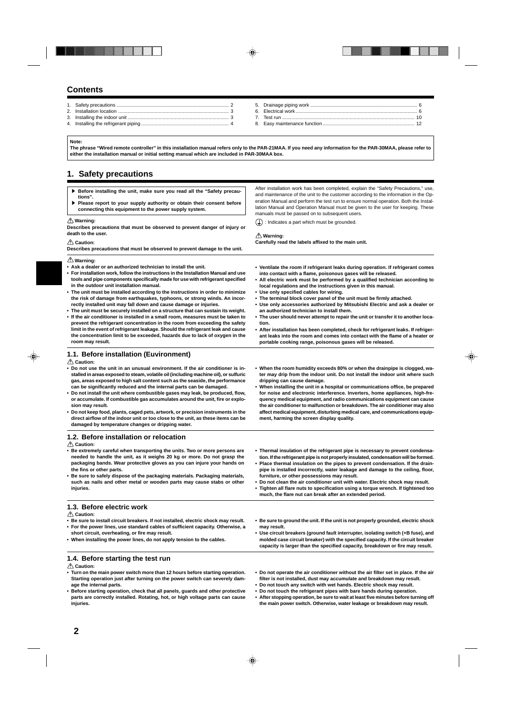## **Contents**

- 1. Safety precautions ................................................................................... 2 2. Installation location .................................................................................. 3
- 3. Installing the indoor unit ........................................................................... 3 4. Installing the refrigerant piping ................................................................. 4
- 5. Drainage piping work ............................................................................... 6 6. Electrical work .......................................................................................... 6 7. Test run .................................................................................................. 10 8. Easy maintenance function .................................................................... 12

#### **Note:**

**The phrase "Wired remote controller" in this installation manual refers only to the PAR-21MAA. If you need any information for the PAR-30MAA, please refer to either the installation manual or initial setting manual which are included in PAR-30MAA box.**

## **1. Safety precautions**

- **1.2. Before installation or relocation Caution: • Be extremely careful when transporting the units. Two or more persons are needed to handle the unit, as it weighs 20 kg or more. Do not grasp the packaging bands. Wear protective gloves as you can injure your hands on the fins or other parts. • Be sure to safely dispose of the packaging materials. Packaging materials, such as nails and other metal or wooden parts may cause stabs or other injuries. Warning: • Ask a dealer or an authorized technician to install the unit. • For installation work, follow the instructions in the Installation Manual and use tools and pipe components specifically made for use with refrigerant specified in the outdoor unit installation manual. • The unit must be installed according to the instructions in order to minimize the risk of damage from earthquakes, typhoons, or strong winds. An incorrectly installed unit may fall down and cause damage or injuries. • The unit must be securely installed on a structure that can sustain its weight. • If the air conditioner is installed in a small room, measures must be taken to prevent the refrigerant concentration in the room from exceeding the safety limit in the event of refrigerant leakage. Should the refrigerant leak and cause the concentration limit to be exceeded, hazards due to lack of oxygen in the room may result. • Ventilate the room if refrigerant leaks during operation. If refrigerant comes into contact with a flame, poisonous gases will be released. • All electric work must be performed by a qualified technician according to local regulations and the instructions given in this manual. • Use only specified cables for wiring. • The terminal block cover panel of the unit must be firmly attached. • Use only accessories authorized by Mitsubishi Electric and ask a dealer or an authorized technician to install them. • The user should never attempt to repair the unit or transfer it to another location. • After installation has been completed, check for refrigerant leaks. If refrigerant leaks into the room and comes into contact with the flame of a heater or portable cooking range, poisonous gases will be released. 1.1. Before installation (Euvironment) Caution: • Do not use the unit in an unusual environment. If the air conditioner is installed in areas exposed to steam, volatile oil (including machine oil), or sulfuric gas, areas exposed to high salt content such as the seaside, the performance can be significantly reduced and the internal parts can be damaged. • Do not install the unit where combustible gases may leak, be produced, flow, or accumulate. If combustible gas accumulates around the unit, fire or explosion may result. • Do not keep food, plants, caged pets, artwork, or precision instruments in the direct airflow of the indoor unit or too close to the unit, as these items can be damaged by temperature changes or dripping water. • When the room humidity exceeds 80% or when the drainpipe is clogged, water may drip from the indoor unit. Do not install the indoor unit where such dripping can cause damage. • When installing the unit in a hospital or communications office, be prepared for noise and electronic interference. Inverters, home appliances, high-frequency medical equipment, and radio communications equipment can cause the air conditioner to malfunction or breakdown. The air conditioner may also affect medical equipment, disturbing medical care, and communications equipment, harming the screen display quality. • Thermal insulation of the refrigerant pipe is necessary to prevent condensation. If the refrigerant pipe is not properly insulated, condensation will be formed. • Place thermal insulation on the pipes to prevent condensation. If the drainpipe is installed incorrectly, water leakage and damage to the ceiling, floor, furniture, or other possessions may result. • Do not clean the air conditioner unit with water. Electric shock may result. • Tighten all flare nuts to specification using a torque wrench. If tightened too much, the flare nut can break after an extended period. 1.3. Before electric work Caution: • Be sure to install circuit breakers. If not installed, electric shock may result. • For the power lines, use standard cables of sufficient capacity. Otherwise, a short circuit, overheating, or fire may result. • When installing the power lines, do not apply tension to the cables. • Be sure to ground the unit. If the unit is not properly grounded, electric shock may result. • Use circuit breakers (ground fault interrupter, isolating switch (+B fuse), and molded case circuit breaker) with the specified capacity. If the circuit breaker capacity is larger than the specified capacity, breakdown or fire may result. 1.4. Before starting the test run Caution: • Turn on the main power switch more than 12 hours before starting operation. Starting operation just after turning on the power switch can severely dam-• Do not operate the air conditioner without the air filter set in place. If the air filter is not installed, dust may accumulate and breakdown may result. Before installing the unit, make sure you read all the "Safety precautions".** s **Please report to your supply authority or obtain their consent before connecting this equipment to the power supply system. Warning: Describes precautions that must be observed to prevent danger of injury or death to the user. Caution: Describes precautions that must be observed to prevent damage to the unit.** After installation work has been completed, explain the "Safety Precautions," use and maintenance of the unit to the customer according to the information in the Operation Manual and perform the test run to ensure normal operation. Both the Installation Manual and Operation Manual must be given to the user for keeping. These manuals must be passed on to subsequent users.  $\left(\frac{\Gamma}{\Gamma}\right)$ : Indicates a part which must be grounded.  **Warning: Carefully read the labels affixed to the main unit.**
- **Before starting operation, check that all panels, guards and other protective • Do not touch any switch with wet hands. Electric shock may result.**
	- **Do not touch the refrigerant pipes with bare hands during operation. • After stopping operation, be sure to wait at least five minutes before turning off the main power switch. Otherwise, water leakage or breakdown may result.**

**injuries.**

**age the internal parts.**

**parts are correctly installed. Rotating, hot, or high voltage parts can cause**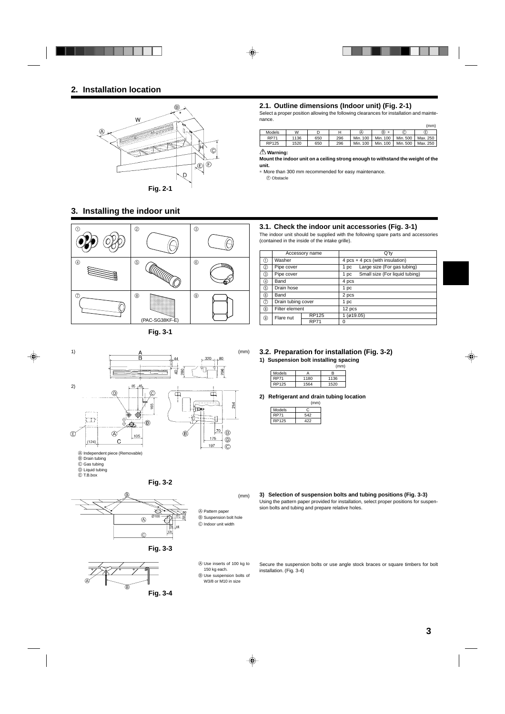## **2. Installation location**



## **3. Installing the indoor unit**



**Fig. 3-1**



B Drain tubing

- C Gas tubing
- D Liquid tubing
- E T.B.box



(mm)

A Pattern paper  $\circledR$  Suspension bolt hole C Indoor unit width



**Fig. 3-2**



- A Use inserts of 100 kg to 150 kg each. B Use suspension bolts of
- W3/8 or M10 in size

## **2.1. Outline dimensions (Indoor unit) (Fig. 2-1)**

Select a proper position allowing the following clearances for installation and maintenance.

(mm)

| Models      | W    |     |     | A        | ®,<br>÷  | C        | E        |
|-------------|------|-----|-----|----------|----------|----------|----------|
| <b>RP71</b> | 1136 | 650 | 296 | Min. 100 | Min. 100 | Min. 500 | Max. 250 |
| RP125       | 1520 | 650 | 296 | Min. 100 | Min. 100 | Min. 500 | Max. 250 |
|             |      |     |     |          |          |          |          |

## **Warning:**

**Mount the indoor unit on a ceiling strong enough to withstand the weight of the unit.**

∗ More than 300 mm recommended for easy maintenance. F Obstacle

## **3.1. Check the indoor unit accessories (Fig. 3-1)**

The indoor unit should be supplied with the following spare parts and accessories (contained in the inside of the intake grille).

|     |                    | Accessory name |          | $Q'$ ty                           |
|-----|--------------------|----------------|----------|-----------------------------------|
| M   | Washer             |                |          | $4 pcs + 4 pcs$ (with insulation) |
| ②   | Pipe cover         |                | 1 pc     | Large size (For gas tubing)       |
| ③   | Pipe cover         |                | 1 pc     | Small size (For liquid tubing)    |
| 4)  | Band               |                | 4 pcs    |                                   |
| (5) | Drain hose         |                | 1 pc     |                                   |
| 6   | Band               |                | 2 pcs    |                                   |
| (7) | Drain tubing cover |                | 1 pc     |                                   |
| ⑧   | Filter element     |                | 12 pcs   |                                   |
| ⊚   | Flare nut          | <b>RP125</b>   | (Ø19.05) |                                   |
|     | <b>RP71</b>        |                | 0        |                                   |

#### **3.2. Preparation for installation (Fig. 3-2)**

**1) Suspension bolt installing spacing**

|             |      | (mm) |
|-------------|------|------|
| Models      |      | R    |
| <b>RP71</b> | 1180 | 1136 |
| RP125       | 1564 | 1520 |

**2) Refrigerant and drain tubing location**

|             | (mm) |
|-------------|------|
| Models      |      |
| <b>RP71</b> | 542  |
| RP125       | 422  |

**3) Selection of suspension bolts and tubing positions (Fig. 3-3)** Using the pattern paper provided for installation, select proper positions for suspension bolts and tubing and prepare relative holes.

Secure the suspension bolts or use angle stock braces or square timbers for bolt installation. (Fig. 3-4)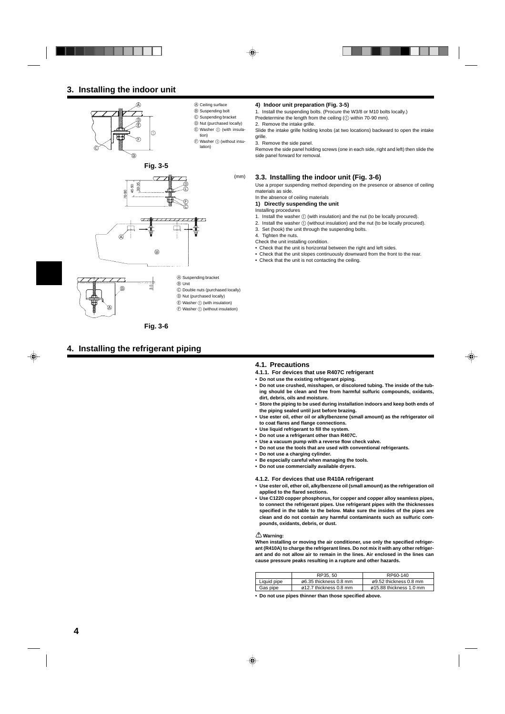## **3. Installing the indoor unit**







C Double nuts (purchased locally) D Nut (purchased locally)  $\circledR$  Washer  $\circledD$  (with insulation)

A Suspending bracket

B Unit

 $(F)$  Washer  $(1)$  (without insulation)

**Fig. 3-6**

## **4. Installing the refrigerant piping**

#### **4) Indoor unit preparation (Fig. 3-5)**

- 1. Install the suspending bolts. (Procure the W3/8 or M10 bolts locally.)
- Predetermine the length from the ceiling  $(1)$  within 70-90 mm).
- 2. Remove the intake grille.

Slide the intake grille holding knobs (at two locations) backward to open the intake grille.

3. Remove the side panel.

Remove the side panel holding screws (one in each side, right and left) then slide the side panel forward for removal.

#### **3.3. Installing the indoor unit (Fig. 3-6)**

Use a proper suspending method depending on the presence or absence of ceiling materials as side.

#### In the absence of ceiling materials **1) Directly suspending the unit**

- Installing procedures
- 1. Install the washer  $(i)$  (with insulation) and the nut (to be locally procured).
- 2. Install the washer  $\overline{1}$  (without insulation) and the nut (to be locally procured).
- 3. Set (hook) the unit through the suspending bolts.
- 4. Tighten the nuts.
- Check the unit installing condition.
- Check that the unit is horizontal between the right and left sides.
- Check that the unit slopes continuously downward from the front to the rear.
- Check that the unit is not contacting the ceiling.

#### **4.1. Precautions**

- **4.1.1. For devices that use R407C refrigerant**
- **Do not use the existing refrigerant piping.**
- **Do not use crushed, misshapen, or discolored tubing. The inside of the tubing should be clean and free from harmful sulfuric compounds, oxidants, dirt, debris, oils and moisture.**
- **Store the piping to be used during installation indoors and keep both ends of the piping sealed until just before brazing.**
- **Use ester oil, ether oil or alkylbenzene (small amount) as the refrigerator oil to coat flares and flange connections.**
- **Use liquid refrigerant to fill the system.**
- **Do not use a refrigerant other than R407C.**
- **Use a vacuum pump with a reverse flow check valve.**
- **Do not use the tools that are used with conventional refrigerants.**
- **Do not use a charging cylinder.**
- **Be especially careful when managing the tools.**
- **Do not use commercially available dryers.**

**4.1.2. For devices that use R410A refrigerant**

- **Use ester oil, ether oil, alkylbenzene oil (small amount) as the refrigeration oil applied to the flared sections.**
- **Use C1220 copper phosphorus, for copper and copper alloy seamless pipes, to connect the refrigerant pipes. Use refrigerant pipes with the thicknesses specified in the table to the below. Make sure the insides of the pipes are clean and do not contain any harmful contaminants such as sulfuric compounds, oxidants, debris, or dust.**

#### **Warning:**

**When installing or moving the air conditioner, use only the specified refrigerant (R410A) to charge the refrigerant lines. Do not mix it with any other refrigerant and do not allow air to remain in the lines. Air enclosed in the lines can cause pressure peaks resulting in a rupture and other hazards.**

|                                    |                                                    | RP35, 50 | RP60-140                            |
|------------------------------------|----------------------------------------------------|----------|-------------------------------------|
|                                    | Liquid pipe<br>$\varnothing$ 6.35 thickness 0.8 mm |          | $\varnothing$ 9.52 thickness 0.8 mm |
| Gas pipe<br>ø12.7 thickness 0.8 mm |                                                    |          | ø15.88 thickness 1.0 mm             |

**• Do not use pipes thinner than those specified above.**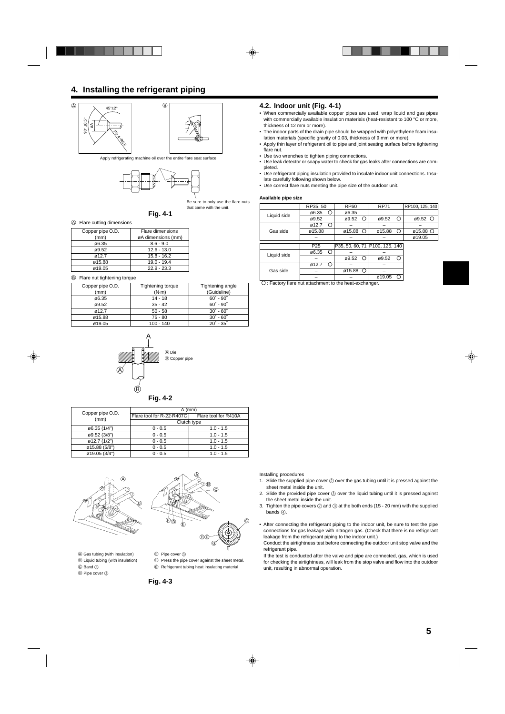## **4. Installing the refrigerant piping**



Apply refrigerating machine oil over the entire flare seat surface.



Be sure to only use the flare nuts that came with the unit.



#### A Flare cutting dimensions

| Copper pipe O.D. | Flare dimensions   |
|------------------|--------------------|
| (mm)             | øA dimensions (mm) |
| ø6.35            | $8.6 - 9.0$        |
| ø9.52            | $12.6 - 13.0$      |
| ø12.7            | $15.8 - 16.2$      |
| ø15.88           | $19.0 - 19.4$      |
| ø19.05           | $22.9 - 23.3$      |

#### B Flare nut tightening torque

| Copper pipe O.D. | Tightening torque | Tightening angle            |
|------------------|-------------------|-----------------------------|
| (mm)             | $(N \cdot m)$     | (Guideline)                 |
| ø6.35            | 14 - 18           | $60^{\circ}$ - $90^{\circ}$ |
| ø9.52            | $35 - 42$         | $60^{\circ} - 90^{\circ}$   |
| 0.12.7           | $50 - 58$         | $30^{\circ} - 60^{\circ}$   |
| ø15.88           | $75 - 80$         | $30^{\circ} - 60^{\circ}$   |
| ø19.05           | 100 - 140         | $20^{\circ}$ - $35^{\circ}$ |



| H |  |
|---|--|
|---|--|

| Copper pipe O.D. | $A$ (mm)                  |                      |  |
|------------------|---------------------------|----------------------|--|
| (mm)             | Flare tool for R-22-R407C | Flare tool for R410A |  |
|                  | Clutch type               |                      |  |
| ø6.35 (1/4")     | $0 - 0.5$                 | $1.0 - 1.5$          |  |
| ø9.52 (3/8")     | $0 - 0.5$                 | $1.0 - 1.5$          |  |
| ø12.7 (1/2")     | $0 - 0.5$                 | $1.0 - 1.5$          |  |
| ø15.88 (5/8")    | $0 - 0.5$                 | $1.0 - 1.5$          |  |
| ø19.05 (3/4")    | $0 - 0.5$                 | $1.0 - 1.5$          |  |
|                  |                           |                      |  |





(A) Gas tubing (with insulation) (E) Pipe cover (3) **B** Liquid tubing (with insulation)  $\qquad \qquad \oplus$  Press the pipe cover against the sheet metal.

 $\overline{O}$  Pipe cover  $\overline{Q}$ 

C Band 6 G Refrigerant tubing heat insulating material

**Fig. 4-3**

#### **4.2. Indoor unit (Fig. 4-1)**

- When commercially available copper pipes are used, wrap liquid and gas pipes with commercially available insulation materials (heat-resistant to 100 °C or more, thickness of 12 mm or more).
- The indoor parts of the drain pipe should be wrapped with polyethylene foam insulation materials (specific gravity of 0.03, thickness of 9 mm or more).
- Apply thin layer of refrigerant oil to pipe and joint seating surface before tightening flare nut.
- Use two wrenches to tighten piping connections.
- Use leak detector or soapy water to check for gas leaks after connections are completed.
- Use refrigerant piping insulation provided to insulate indoor unit connections. Insulate carefully following shown below.
- Use correct flare nuts meeting the pipe size of the outdoor unit.

#### **Available pipe size**

|             | RP35, 50        | <b>RP60</b> | <b>RP71</b>                    | RP100, 125, 140         |
|-------------|-----------------|-------------|--------------------------------|-------------------------|
|             | ø6.35<br>◯      | ø6.35       |                                |                         |
| Liquid side | ø9.52           | O<br>ø9.52  | ø9.52<br>€                     | ø9.52                   |
|             | ø12.7           |             |                                |                         |
| Gas side    | ø15.88          | ø15.88<br>Ω | ø15.88<br>∩                    | $\varphi$ 15.88 $\circ$ |
|             |                 |             |                                | ø19.05                  |
|             |                 |             |                                |                         |
|             | P <sub>25</sub> |             | P35, 50, 60, 71 P100, 125, 140 |                         |
| Liquid side | ø6.35           |             |                                |                         |
|             |                 | ø9.52<br>€  | ø9.52<br>⊂                     |                         |
|             | ø12.7           |             |                                |                         |
| Gas side    |                 | ø15.88<br>С |                                |                         |
|             |                 |             | ø19.05                         |                         |

: Factory flare nut attachment to the heat-exchanger.

Installing procedures

- 1. Slide the supplied pipe cover  $@$  over the gas tubing until it is pressed against the sheet metal inside the unit.
- 2. Slide the provided pipe cover 3 over the liquid tubing until it is pressed against the sheet metal inside the unit.
- 3. Tighten the pipe covers  $@$  and  $@$  at the both ends (15 20 mm) with the supplied bands (4).
- After connecting the refrigerant piping to the indoor unit, be sure to test the pipe connections for gas leakage with nitrogen gas. (Check that there is no refrigerant leakage from the refrigerant piping to the indoor unit.)

Conduct the airtightness test before connecting the outdoor unit stop valve and the refrigerant pipe.

If the test is conducted after the valve and pipe are connected, gas, which is used for checking the airtightness, will leak from the stop valve and flow into the outdoor unit, resulting in abnormal operation.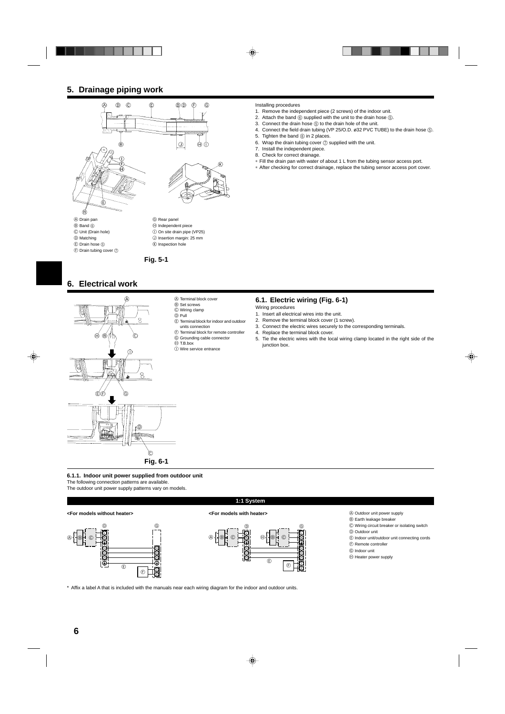## **5. Drainage piping work**



 $<sup>①</sup>$  Band  $<sup>③</sup>$ </sup></sup> C Unit (Drain hole) D Matching E Drain hose 5

 $\overline{\oplus}$  Drain tubing cover  $\overline{\odot}$ 

**Fig. 5-1**

 $<sup>①</sup>$  Independent piece</sup>  $\circledR$  On site drain pipe (VP25) J Insertion margin: 25 mm K Inspection hole

## **6. Electrical work**



- A Terminal block cover  $\overset{\sim}{\mathbf{\Theta}}$  Set screws
- C Wiring clamp
- $\circledcirc$  Pull
- E Terminal block for indoor and outdoor

**M** 

- units connection
- $\odot$  Terminal block for remote controller G Grounding cable connector
- $\overline{\Theta}$  T.B.box
	- $\overline{\mathbb{O}}$  Wire service entrance

#### Installing procedures

- 1. Remove the independent piece (2 screws) of the indoor unit.
- 2. Attach the band  $(6)$  supplied with the unit to the drain hose  $(6)$ .
- 3. Connect the drain hose  $(5)$  to the drain hole of the unit.
- 4. Connect the field drain tubing (VP 25/O.D. ø32 PVC TUBE) to the drain hose  $\circledS$ .
- 5. Tighten the band  $@$  in 2 places.
- 6. Wrap the drain tubing cover  $\oslash$  supplied with the unit.
- 7. Install the independent piece.
- 8. Check for correct drainage.
- ∗ Fill the drain pan with water of about 1 L from the tubing sensor access port.
- ∗ After checking for correct drainage, replace the tubing sensor access port cover.

#### **6.1. Electric wiring (Fig. 6-1)**

- Wiring procedures
- 1. Insert all electrical wires into the unit.
- 2. Remove the terminal block cover (1 screw).
- 3. Connect the electric wires securely to the corresponding terminals.
- 4. Replace the terminal block cover.
- 5. Tie the electric wires with the local wiring clamp located in the right side of the junction box.

**6.1.1. Indoor unit power supplied from outdoor unit**

The following connection patterns are available.

The outdoor unit power supply patterns vary on models.

#### **<For models without heater>**





#### **<For models with heater>**



A Outdoor unit power supply

- $\circledR$  Earth leakage breaker C Wiring circuit breaker or isolating switch
- D Outdoor unit
- E Indoor unit/outdoor unit connecting cords
- F Remote controller
- G Indoor unit
- $\oplus$  Heater power supply

\* Affix a label A that is included with the manuals near each wiring diagram for the indoor and outdoor units.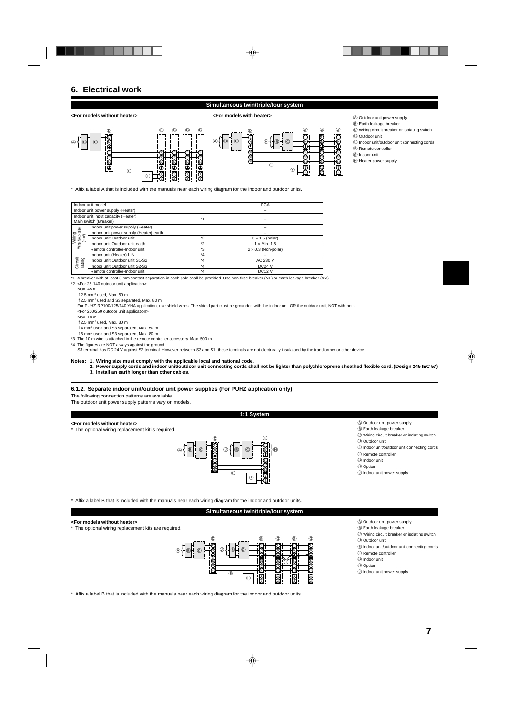## **6. Electrical work**

### **Simultaneous twin/triple/four system**

#### **<For models without heater> <For models with heater>**



A Outdoor unit power supply

- $\overset{\circ}{\mathbb{B}}$  Earth leakage breaker
- C Wiring circuit breaker or isolating switch D Outdoor unit
- 
- E Indoor unit/outdoor unit connecting cords
- F Remote controller G Indoor unit
- $<sup>①</sup>$  Heater power supply</sup>

\* Affix a label A that is included with the manuals near each wiring diagram for the indoor and outdoor units.

| Indoor unit model                                                  |                                         |         | <b>PCA</b>                 |
|--------------------------------------------------------------------|-----------------------------------------|---------|----------------------------|
|                                                                    | Indoor unit power supply (Heater)       |         |                            |
|                                                                    | Indoor unit input capacity (Heater)     | $*4$    |                            |
|                                                                    | Main switch (Breaker)                   |         |                            |
| size                                                               | Indoor unit power supply (Heater)       |         |                            |
|                                                                    | Indoor unit power supply (Heater) earth |         |                            |
|                                                                    | Indoor unit-Outdoor unit                | $*$     | $3 \times 1.5$ (polar)     |
| Wiring<br>Wire No. × si<br>(mm²)<br>Indoor unit-Outdoor unit earth |                                         | $*$     | $1 \times$ Min. 1.5        |
|                                                                    | Remote controller-Indoor unit           | *3      | $2 \times 0.3$ (Non-polar) |
|                                                                    | Indoor unit (Heater) L-N                | $*_{4}$ |                            |
| rating                                                             | Indoor unit-Outdoor unit S1-S2          | $*_{4}$ | AC 230 V                   |
| Circuit                                                            | Indoor unit-Outdoor unit S2-S3          | $*_{4}$ | <b>DC24 V</b>              |
|                                                                    | Remote controller-Indoor unit           | $*_{4}$ | <b>DC12 V</b>              |

\*1. A breaker with at least 3 mm contact separation in each pole shall be provided. Use non-fuse breaker (NF) or earth leakage breaker (NV). \*2. <For 25-140 outdoor unit application>

Max. 45 m

If  $2.5$  mm<sup>2</sup> used, Max.  $50$  m

If 2.5 mm<sup>2</sup> used and S3 separated, Max. 80 m

For PUHZ-RP100/125/140 YHA application, use shield wires. The shield part must be grounded with the indoor unit OR the outdoor unit, NOT with both. <For 200/250 outdoor unit application>

Max. 18 m

If  $2.5$  mm<sup>2</sup> used, Max,  $30$  m

If 4 mm<sup>2</sup> used and S3 separated, Max. 50 m

If 6 mm2 used and S3 separated, Max. 80 m

\*3. The 10 m wire is attached in the remote controller accessory. Max. 500 m \*4. The figures are NOT always against the ground.

S3 terminal has DC 24 V against S2 terminal. However between S3 and S1, these terminals are not electrically insulataed by the transformer or other device.

**Notes: 1. Wiring size must comply with the applicable local and national code.**

**2. Power supply cords and indoor unit/outdoor unit connecting cords shall not be lighter than polychloroprene sheathed flexible cord. (Design 245 IEC 57) 3. Install an earth longer than other cables.**

**1:1 System**

#### **6.1.2. Separate indoor unit/outdoor unit power supplies (For PUHZ application only)**

The following connection patterns are available.

The outdoor unit power supply patterns vary on models.

#### **<For models without heater>**

The optional wiring replacement kit is required.



- A Outdoor unit power supply B Earth leakage breaker
- C Wiring circuit breaker or isolating switch
- D Outdoor unit
- E Indoor unit/outdoor unit connecting cords
- $\textcircled{F}$  Remote controller
- G Indoor unit
- $\oplus$  Option

J Indoor unit power supply

\* Affix a label B that is included with the manuals near each wiring diagram for the indoor and outdoor units.

#### **Simultaneous twin/triple/four system**

#### **<For models without heater>**

The optional wiring replacement kits are required.



- A Outdoor unit power supply
- B Earth leakage breaker
- C Wiring circuit breaker or isolating switch
- D Outdoor unit
- E Indoor unit/outdoor unit connecting cords F Remote controller
- G Indoor unit
- H Option
- J Indoor unit power supply

\* Affix a label B that is included with the manuals near each wiring diagram for the indoor and outdoor units.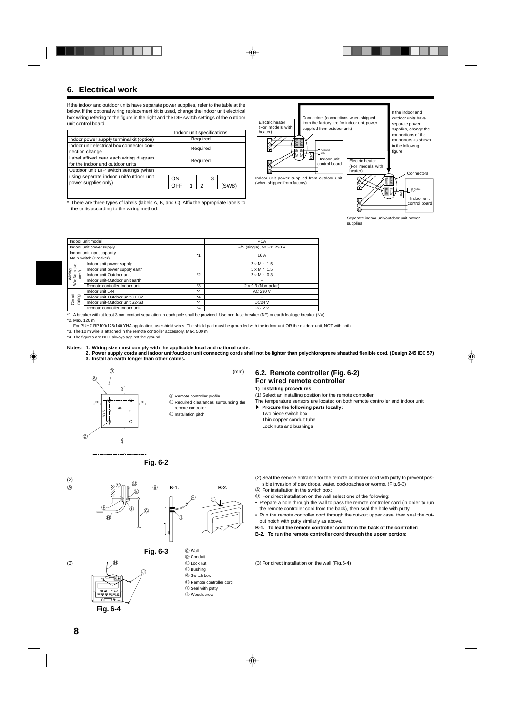## **6. Electrical work**

If the indoor and outdoor units have separate power supplies, refer to the table at the below. If the optional wiring replacement kit is used, change the indoor unit electrical box wiring refering to the figure in the right and the DIP switch settings of the outdoor unit control board.

|                                                                                                           | Indoor unit specifications   |  |  |
|-----------------------------------------------------------------------------------------------------------|------------------------------|--|--|
| Indoor power supply terminal kit (option)                                                                 | Required                     |  |  |
| Indoor unit electrical box connector con-<br>nection change                                               | Required                     |  |  |
| Label affixed near each wiring diagram<br>for the indoor and outdoor units                                | Required                     |  |  |
| Outdoor unit DIP switch settings (when<br>using separate indoor unit/outdoor unit<br>power supplies only) | 3<br>OΝ<br>OFF<br>(SW8)<br>2 |  |  |

\* There are three types of labels (labels A, B, and C). Affix the appropriate labels to the units according to the wiring method.



Separate indoor unit/outdoor unit power supplies

|                                                 | Indoor unit model              |         | <b>PCA</b>                  |  |
|-------------------------------------------------|--------------------------------|---------|-----------------------------|--|
|                                                 | Indoor unit power supply       |         | $-N$ (single), 50 Hz, 230 V |  |
| Indoor unit input capacity<br>$*4$              |                                |         | 16 A                        |  |
|                                                 | Main switch (Breaker)          |         |                             |  |
|                                                 | Indoor unit power supply       |         | $2 \times$ Min. 1.5         |  |
|                                                 | Indoor unit power supply earth |         | $1 \times$ Min. 1.5         |  |
|                                                 | Indoor unit-Outdoor unit       | $*_{2}$ | $2 \times$ Min. 0.3         |  |
| Wiring<br>Wire No. x size<br>(mm <sup>2</sup> ) | Indoor unit-Outdoor unit earth |         |                             |  |
|                                                 | Remote controller-Indoor unit  | $*_{3}$ | $2 \times 0.3$ (Non-polar)  |  |
|                                                 | Indoor unit L-N                | $*_{4}$ | AC 230 V                    |  |
|                                                 | Indoor unit-Outdoor unit S1-S2 | $*_{4}$ |                             |  |
| Circuit<br>rating                               | Indoor unit-Outdoor unit S2-S3 | $*_{4}$ | DC24V                       |  |
|                                                 | Remote controller-Indoor unit  | $*_{4}$ | DC <sub>12</sub> V          |  |
|                                                 |                                | .       | $\cdots$<br>.               |  |

\*1. A breaker with at least 3 mm contact separation in each pole shall be provided. Use non-fuse breaker (NF) or earth leakage breaker (NV). \*2. Max. 120 m

For PUHZ-RP100/125/140 YHA application, use shield wires. The shield part must be grounded with the indoor unit OR the outdoor unit, NOT with both.

\*3. The 10 m wire is attached in the remote controller accessory. Max. 500 m

\*4. The figures are NOT always against the ground.

#### **Notes: 1. Wiring size must comply with the applicable local and national code.**

**2. Power supply cords and indoor unit/outdoor unit connecting cords shall not be lighter than polychloroprene sheathed flexible cord. (Design 245 IEC 57) 3. Install an earth longer than other cables.**

(mm)



A Remote controller profile  $(B)$  Required clearances surrounding the

C Installation pitch

## **6.2. Remote controller (Fig. 6-2) For wired remote controller**

#### **1) Installing procedures**

- (1) Select an installing position for the remote controller.
- The temperature sensors are located on both remote controller and indoor unit. **Procure the following parts locally:** 
	- Two piece switch box Thin copper conduit tube Lock nuts and bushings

**Fig. 6-2**

 $\circledR$ (2)

(3)



**Fig. 6-3**









- F Bushing G Switch box
- 
- $\oplus$  Remote controller cord  $\circledR$  Seal with putty
- 
- J Wood screw
- (2) Seal the service entrance for the remote controller cord with putty to prevent possible invasion of dew drops, water, cockroaches or worms. (Fig.6-3)
- A For installation in the switch box:
- B For direct installation on the wall select one of the following:
- Prepare a hole through the wall to pass the remote controller cord (in order to run the remote controller cord from the back), then seal the hole with putty.
- Run the remote controller cord through the cut-out upper case, then seal the cutout notch with putty similarly as above.
- **B-1. To lead the remote controller cord from the back of the controller:**
- **B-2. To run the remote controller cord through the upper portion:**

 $(3)$  For direct installation on the wall (Fig.6-4)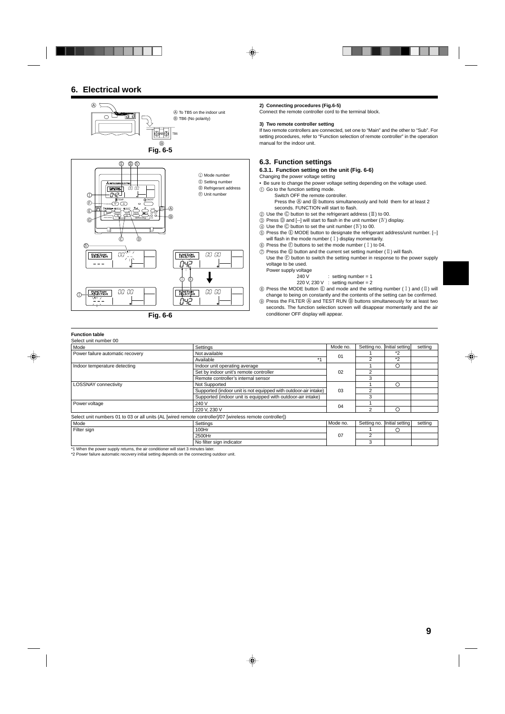## **6. Electrical work**



**Fig. 6-6**

#### **2) Connecting procedures (Fig.6-5)**

Connect the remote controller cord to the terminal block.

#### **3) Two remote controller setting**

If two remote controllers are connected, set one to "Main" and the other to "Sub". For setting procedures, refer to "Function selection of remote controller" in the operation manual for the indoor unit.

## **6.3. Function settings**

**6.3.1. Function setting on the unit (Fig. 6-6)**

Changing the power voltage setting

• Be sure to change the power voltage setting depending on the voltage used.

- 1 Go to the function setting mode.
	- Switch OFF the remote controller.
		- Press the  $\overline{\circ}$  and  $\overline{\circ}$  buttons simultaneously and hold them for at least 2 seconds. FUNCTION will start to flash.
- $(2)$  Use the  $\odot$  button to set the refrigerant address ( $\mathbb{I}$ ) to 00.
- $\overline{\textcircled{\tiny{3}}}$  Press  $\overline{\textcircled{\tiny{2}}}$  and [--] will start to flash in the unit number  $(\overline{\text{IV}})$  display.
- $4$  Use the  $\odot$  button to set the unit number ( $\text{IV}$ ) to 00.
- 5 Press the E MODE button to designate the refrigerant address/unit number. [--] will flash in the mode number  $(1)$  display momentarily.
- $6$  Press the  $6$  buttons to set the mode number (1) to 04.
- $\circled{7}$  Press the  $\circled{6}$  button and the current set setting number ( $\mathbb I$ ) will flash. Use the  $\mathfrak G$  button to switch the setting number in response to the power supply voltage to be used.
	- Power supply voltage
		- 240 V : setting number = 1
		- 220 V, 230 V : setting number = 2
- $\circledR$  Press the MODE button  $\circledR$  and mode and the setting number (I) and (II) will change to being on constantly and the contents of the setting can be confirmed.
- **9 Press the FILTER A and TEST RUN B buttons simultaneously for at least two** seconds. The function selection screen will disappear momentarily and the air conditioner OFF display will appear.

## **Function table**

| Select unit number 00                                                                                    |                                                                 |          |                |                 |         |
|----------------------------------------------------------------------------------------------------------|-----------------------------------------------------------------|----------|----------------|-----------------|---------|
| Mode                                                                                                     | Settings                                                        | Mode no. | Setting no.    | Initial setting | setting |
| Power failure automatic recovery                                                                         | Not available                                                   | 01       |                | *2              |         |
|                                                                                                          | $*1$<br>Available                                               |          |                | $*_{2}$         |         |
| Indoor temperature detecting                                                                             | Indoor unit operating average                                   |          |                | O               |         |
|                                                                                                          | Set by indoor unit's remote controller                          | 02       | 2              |                 |         |
|                                                                                                          | Remote controller's internal sensor                             |          | 3              |                 |         |
| <b>LOSSNAY</b> connectivity                                                                              | Not Supported                                                   |          |                | $\bigcirc$      |         |
|                                                                                                          | Supported (indoor unit is not equipped with outdoor-air intake) | 03       | 2              |                 |         |
|                                                                                                          | Supported (indoor unit is equipped with outdoor-air intake)     |          | 3              |                 |         |
| Power voltage                                                                                            | 240 V                                                           | 04       |                |                 |         |
|                                                                                                          | 220 V, 230 V                                                    |          |                | ∩               |         |
| Select unit numbers 01 to 03 or all units (AL [wired remote controller]/07 [wireless remote controller]) |                                                                 |          |                |                 |         |
| Mode                                                                                                     | Settings                                                        | Mode no. | Setting no.    | Initial setting | setting |
| Filter sign                                                                                              | 100Hr                                                           |          |                | ◯               |         |
|                                                                                                          | 2500Hr                                                          | 07       | $\mathfrak{p}$ |                 |         |
|                                                                                                          | No filter sign indicator                                        |          | 3              |                 |         |

\*1 When the power supply returns, the air conditioner will start 3 minutes later. \*2 Power failure automatic recovery initial setting depends on the connecting outdoor unit.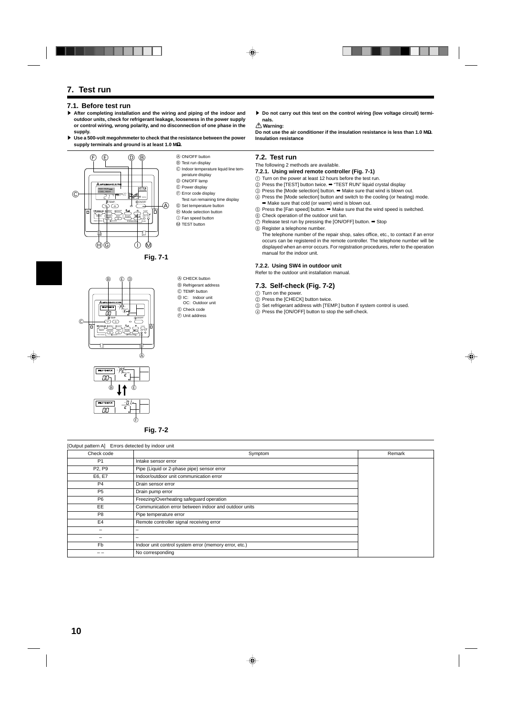## **7. Test run**

### **7.1. Before test run**

- s **After completing installation and the wiring and piping of the indoor and outdoor units, check for refrigerant leakage, looseness in the power supply or control wiring, wrong polarity, and no disconnection of one phase in the supply.**
- s **Use a 500-volt megohmmeter to check that the resistance between the power supply terminals and ground is at least 1.0 M**Ω**.**



- A ON/OFF button
- B Test run display
- C Indoor temperature liquid line tem-
- perature display
- D ON/OFF lamp
- E Power display
- $\circledR$  Error code display
- Test run remaining time display
- G Set temperature button
- H Mode selection button
- I Fan speed button
- M TEST button
- ▶ Do not carry out this test on the control wiring (low voltage circuit) termi**nals.**
- **Warning:**

**Do not use the air conditioner if the insulation resistance is less than 1.0 M**Ω**. Insulation resistance**

## **7.2. Test run**

- The following 2 methods are available.
- **7.2.1. Using wired remote controller (Fig. 7-1)**
- 1 Turn on the power at least 12 hours before the test run.
- $\overline{2}$  Press the ITESTI button twice.  $\Rightarrow$  "TEST RUN" liquid crystal display
- 3 Press the [Mode selection] button. ➡ Make sure that wind is blown out.
- 4 Press the [Mode selection] button and switch to the cooling (or heating) mode. ➡ Make sure that cold (or warm) wind is blown out.
- 5 Press the [Fan speed] button. ➡ Make sure that the wind speed is switched.
- 6 Check operation of the outdoor unit fan.
- $\overline{O}$  Release test run by pressing the [ON/OFF] button.  $\rightarrow$  Stop
- 8 Register a telephone number.
- The telephone number of the repair shop, sales office, etc., to contact if an error occurs can be registered in the remote controller. The telephone number will be displayed when an error occurs. For registration procedures, refer to the operation manual for the indoor unit.

#### **7.2.2. Using SW4 in outdoor unit**

Refer to the outdoor unit installation manual.

## **7.3. Self-check (Fig. 7-2)**

- (1) Turn on the power.
- 2 Press the [CHECK] button twice.
- $\overline{\textcircled{\tiny{3}}}$  Set refrigerant address with [TEMP.] button if system control is used.
- 4 Press the [ON/OFF] button to stop the self-check.

PAR-21MAA ON/OFF CHECK OPERATION CLEAR TEMP. MENU BACK MONITORSET DAY ERROR CODE  $\widehat{C}$ A

E D

 $^\circledR$ 



**Fig. 7-2**

| [Output pattern A] Errors detected by indoor unit                             |                                                       |        |  |
|-------------------------------------------------------------------------------|-------------------------------------------------------|--------|--|
| Check code<br>Symptom                                                         |                                                       | Remark |  |
| P <sub>1</sub>                                                                | Intake sensor error                                   |        |  |
| P <sub>2</sub> , P <sub>9</sub><br>Pipe (Liquid or 2-phase pipe) sensor error |                                                       |        |  |
| E6, E7                                                                        | Indoor/outdoor unit communication error               |        |  |
| P <sub>4</sub>                                                                | Drain sensor error                                    |        |  |
| P <sub>5</sub>                                                                | Drain pump error                                      |        |  |
| P <sub>6</sub>                                                                | Freezing/Overheating safeguard operation              |        |  |
| EE                                                                            | Communication error between indoor and outdoor units  |        |  |
| P <sub>8</sub>                                                                | Pipe temperature error                                |        |  |
| E <sub>4</sub>                                                                | Remote controller signal receiving error              |        |  |
| -                                                                             |                                                       |        |  |
|                                                                               |                                                       |        |  |
| Fb                                                                            | Indoor unit control system error (memory error, etc.) |        |  |
|                                                                               | No corresponding                                      |        |  |

- 
- A CHECK button
- B Refrigerant address
- C TEMP. button
- D IC: Indoor unit
- OC: Outdoor unit
- E Check code F Unit address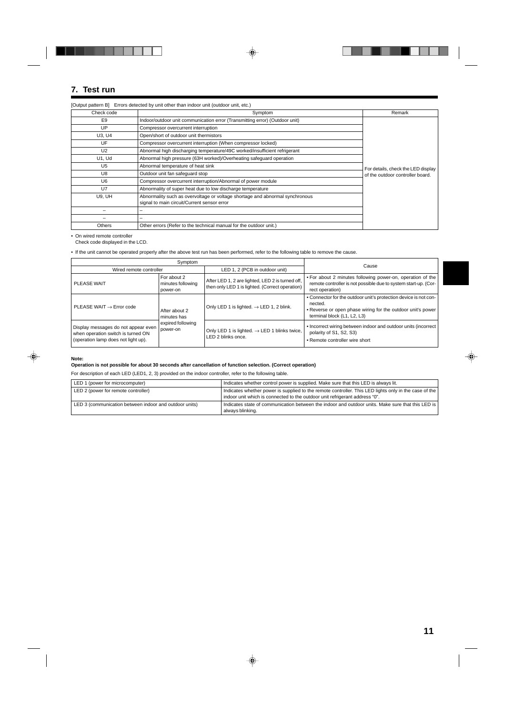## **7. Test run**

|                | [Output pattern B] Errors detected by unit other than indoor unit (outdoor unit, etc.)                                      |                                    |
|----------------|-----------------------------------------------------------------------------------------------------------------------------|------------------------------------|
| Check code     | Symptom                                                                                                                     | Remark                             |
| E9             | Indoor/outdoor unit communication error (Transmitting error) (Outdoor unit)                                                 |                                    |
| UP             | Compressor overcurrent interruption                                                                                         |                                    |
| U3, U4         | Open/short of outdoor unit thermistors                                                                                      |                                    |
| UF             | Compressor overcurrent interruption (When compressor locked)                                                                |                                    |
| U <sub>2</sub> | Abnormal high discharging temperature/49C worked/insufficient refrigerant                                                   |                                    |
| <b>U1, Ud</b>  | Abnormal high pressure (63H worked)/Overheating safeguard operation                                                         |                                    |
| U <sub>5</sub> | Abnormal temperature of heat sink                                                                                           | For details, check the LED display |
| U8             | Outdoor unit fan safeguard stop                                                                                             | of the outdoor controller board.   |
| U6             | Compressor overcurrent interruption/Abnormal of power module                                                                |                                    |
| U7             | Abnormality of super heat due to low discharge temperature                                                                  |                                    |
| <b>U9, UH</b>  | Abnormality such as overvoltage or voltage shortage and abnormal synchronous<br>signal to main circuit/Current sensor error |                                    |
|                |                                                                                                                             |                                    |
|                |                                                                                                                             |                                    |
| <b>Others</b>  | Other errors (Refer to the technical manual for the outdoor unit.)                                                          |                                    |

• On wired remote controller

Check code displayed in the LCD.

• If the unit cannot be operated properly after the above test run has been performed, refer to the following table to remove the cause.

| Symptom                                                                                                          |                                                               | Cause                                                                                               |                                                                                                                                                                           |
|------------------------------------------------------------------------------------------------------------------|---------------------------------------------------------------|-----------------------------------------------------------------------------------------------------|---------------------------------------------------------------------------------------------------------------------------------------------------------------------------|
| Wired remote controller                                                                                          |                                                               | LED 1, 2 (PCB in outdoor unit)                                                                      |                                                                                                                                                                           |
| <b>PLEASE WAIT</b>                                                                                               | For about 2<br>minutes following<br>power-on                  | After LED 1, 2 are lighted, LED 2 is turned off,<br>then only LED 1 is lighted. (Correct operation) | . For about 2 minutes following power-on, operation of the<br>remote controller is not possible due to system start-up. (Cor-<br>rect operation)                          |
| PLEASE WAIT $\rightarrow$ Error code                                                                             | After about 2<br>minutes has<br>expired following<br>power-on | Only LED 1 is lighted. $\rightarrow$ LED 1, 2 blink.                                                | . Connector for the outdoor unit's protection device is not con-<br>nected.<br>• Reverse or open phase wiring for the outdoor unit's power<br>terminal block (L1, L2, L3) |
| Display messages do not appear even<br>when operation switch is turned ON<br>(operation lamp does not light up). |                                                               | Only LED 1 is lighted. $\rightarrow$ LED 1 blinks twice,<br>LED 2 blinks once.                      | • Incorrect wiring between indoor and outdoor units (incorrect<br>polarity of S1, S2, S3)<br>• Remote controller wire short                                               |

#### **Note:**

**Operation is not possible for about 30 seconds after cancellation of function selection. (Correct operation)**

For description of each LED (LED1, 2, 3) provided on the indoor controller, refer to the following table.

| LED 1 (power for microcomputer)                        | Indicates whether control power is supplied. Make sure that this LED is always lit.                                                                                                 |
|--------------------------------------------------------|-------------------------------------------------------------------------------------------------------------------------------------------------------------------------------------|
| LED 2 (power for remote controller)                    | Indicates whether power is supplied to the remote controller. This LED lights only in the case of the<br>indoor unit which is connected to the outdoor unit refrigerant address "0" |
| LED 3 (communication between indoor and outdoor units) | Indicates state of communication between the indoor and outdoor units. Make sure that this LED is<br>always blinking.                                                               |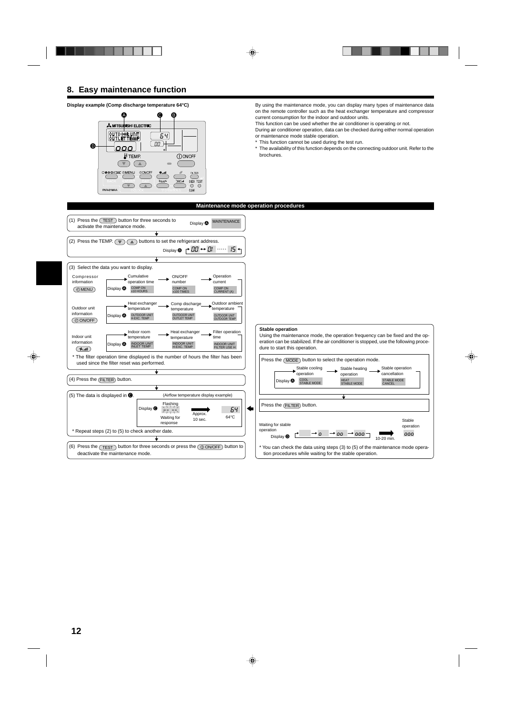## **8. Easy maintenance function**

#### **Display example (Comp discharge temperature 64°C)**



By using the maintenance mode, you can display many types of maintenance data on the remote controller such as the heat exchanger temperature and compressor current consumption for the indoor and outdoor units.

This function can be used whether the air conditioner is operating or not.

During air conditioner operation, data can be checked during either normal operation or maintenance mode stable operation.

This function cannot be used during the test run.

The availability of this function depends on the connecting outdoor unit. Refer to the brochures.